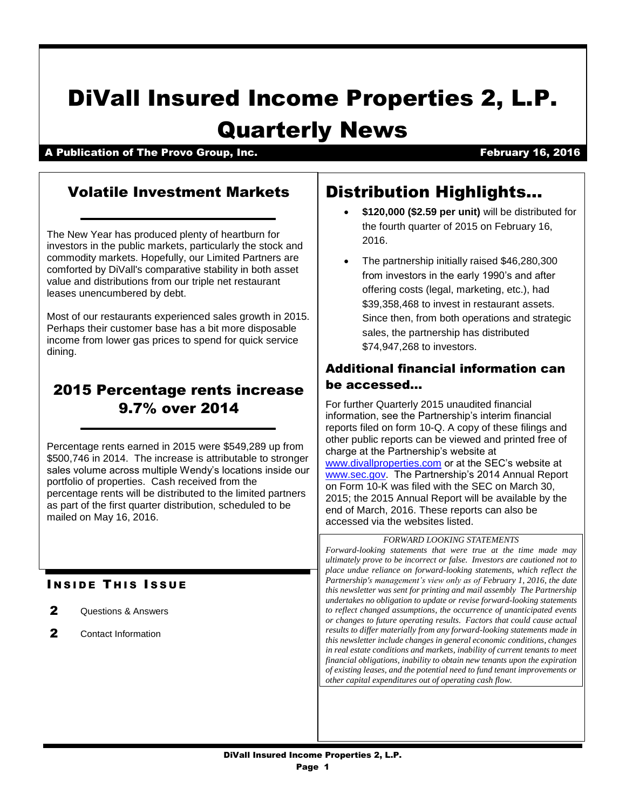# DiVall Insured Income Properties 2, L.P. Quarterly News

# A Publication of The Provo Group, Inc. The Contract of Contract of Contract of Contract of Contract of Contract Contract of Contract of Contract of Contract of Contract of Contract of Contract of Contract of Contract of Co

# Volatile Investment Markets

The New Year has produced plenty of heartburn for investors in the public markets, particularly the stock and commodity markets. Hopefully, our Limited Partners are comforted by DiVall's comparative stability in both asset value and distributions from our triple net restaurant leases unencumbered by debt.

Most of our restaurants experienced sales growth in 2015. Perhaps their customer base has a bit more disposable income from lower gas prices to spend for quick service dining.

# 2015 Percentage rents increase 9.7% over 2014

Percentage rents earned in 2015 were \$549,289 up from \$500,746 in 2014. The increase is attributable to stronger sales volume across multiple Wendy's locations inside our portfolio of properties. Cash received from the percentage rents will be distributed to the limited partners as part of the first quarter distribution, scheduled to be mailed on May 16, 2016.

# **INSIDE THIS ISSUE**

- 2 Questions & Answers
- 2 Contact Information

# Distribution Highlights…

- **\$120,000 (\$2.59 per unit)** will be distributed for the fourth quarter of 2015 on February 16, 2016.
- The partnership initially raised \$46,280,300 from investors in the early 1990's and after offering costs (legal, marketing, etc.), had \$39,358,468 to invest in restaurant assets. Since then, from both operations and strategic sales, the partnership has distributed \$74,947,268 to investors.

# Additional financial information can be accessed…

For further Quarterly 2015 unaudited financial information, see the Partnership's interim financial reports filed on form 10-Q. A copy of these filings and other public reports can be viewed and printed free of charge at the Partnership's website at [www.divallproperties.com](http://www.divallproperties.com/) or at the SEC's website at [www.sec.gov.](http://www.sec.gov/) The Partnership's 2014 Annual Report on Form 10-K was filed with the SEC on March 30, 2015; the 2015 Annual Report will be available by the end of March, 2016. These reports can also be accessed via the websites listed.

*Forward-looking statements that were true at the time made may ultimately prove to be incorrect or false. Investors are cautioned not to place undue reliance on forward-looking statements, which reflect the Partnership's management's view only as of February 1, 2016, the date this newsletter was sent for printing and mail assembly The Partnership undertakes no obligation to update or revise forward-looking statements to reflect changed assumptions, the occurrence of unanticipated events or changes to future operating results. Factors that could cause actual results to differ materially from any forward-looking statements made in this newsletter include changes in general economic conditions, changes in real estate conditions and markets, inability of current tenants to meet financial obligations, inability to obtain new tenants upon the expiration of existing leases, and the potential need to fund tenant improvements or other capital expenditures out of operating cash flow.*